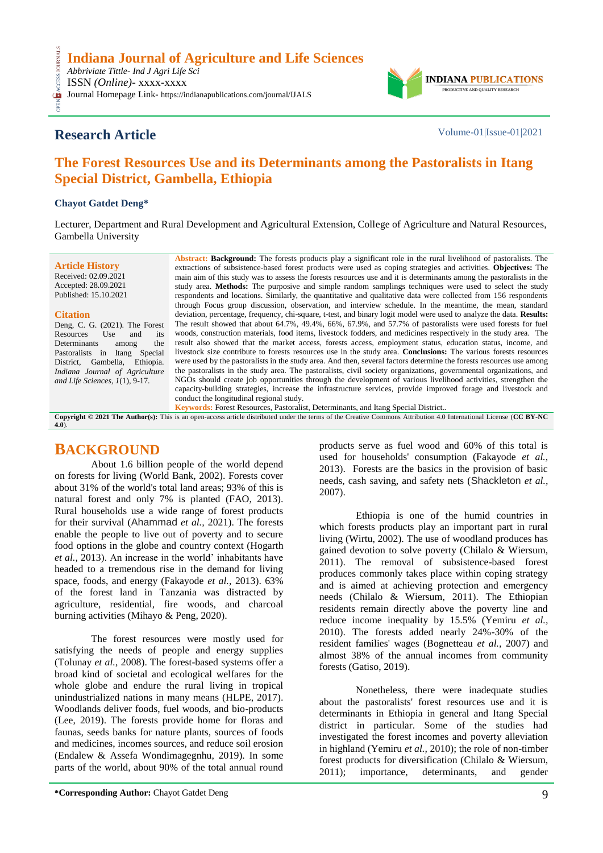

# **Research Article** Volume-01|Issue-01|2021

CESS

# **The Forest Resources Use and its Determinants among the Pastoralists in Itang Special District, Gambella, Ethiopia**

#### **Chayot Gatdet Deng\***

Lecturer, Department and Rural Development and Agricultural Extension, College of Agriculture and Natural Resources, Gambella University

**Article History** Received: 02.09.2021 Accepted: 28.09.2021 Published: 15.10.2021

#### **Citation**

Deng, C. G. (2021). The Forest Resources Use and its Determinants among the Pastoralists in Itang Special District, Gambella, Ethiopia. *Indiana Journal of Agriculture and Life Sciences, 1*(1), 9-17.

**Abstract: Background:** The forests products play a significant role in the rural livelihood of pastoralists. The extractions of subsistence-based forest products were used as coping strategies and activities. **Objectives:** The main aim of this study was to assess the forests resources use and it is determinants among the pastoralists in the study area. **Methods:** The purposive and simple random samplings techniques were used to select the study respondents and locations. Similarly, the quantitative and qualitative data were collected from 156 respondents through Focus group discussion, observation, and interview schedule. In the meantime, the mean, standard deviation, percentage, frequency, chi-square, t-test, and binary logit model were used to analyze the data. **Results:** The result showed that about 64.7%, 49.4%, 66%, 67.9%, and 57.7% of pastoralists were used forests for fuel woods, construction materials, food items, livestock fodders, and medicines respectively in the study area. The result also showed that the market access, forests access, employment status, education status, income, and livestock size contribute to forests resources use in the study area. **Conclusions:** The various forests resources were used by the pastoralists in the study area. And then, several factors determine the forests resources use among the pastoralists in the study area. The pastoralists, civil society organizations, governmental organizations, and NGOs should create job opportunities through the development of various livelihood activities, strengthen the capacity-building strategies, increase the infrastructure services, provide improved forage and livestock and conduct the longitudinal regional study.

**Keywords:** Forest Resources, Pastoralist, Determinants, and Itang Special District..

**Copyright © 2021 The Author(s):** This is an open-access article distributed under the terms of the Creative Commons Attribution 4.0 International License (**[CC BY-NC](https://creativecommons.org/licenses/by-nc/4.0/)  [4.0](https://creativecommons.org/licenses/by-nc/4.0/)**).

## **BACKGROUND**

About 1.6 billion people of the world depend on forests for living (World Bank, 2002). Forests cover about 31% of the world's total land areas; 93% of this is natural forest and only 7% is planted (FAO, 2013). Rural households use a wide range of forest products for their survival (Ahammad *et al.,* 2021). The forests enable the people to live out of poverty and to secure food options in the globe and country context (Hogarth *et al.,* 2013). An increase in the world' inhabitants have headed to a tremendous rise in the demand for living space, foods, and energy (Fakayode *et al.,* 2013). 63% of the forest land in Tanzania was distracted by agriculture, residential, fire woods, and charcoal burning activities (Mihayo & Peng, 2020).

The forest resources were mostly used for satisfying the needs of people and energy supplies (Tolunay *et al.*, 2008). The forest-based systems offer a broad kind of societal and ecological welfares for the whole globe and endure the rural living in tropical unindustrialized nations in many means (HLPE, 2017). Woodlands deliver foods, fuel woods, and bio-products (Lee, 2019). The forests provide home for floras and faunas, seeds banks for nature plants, sources of foods and medicines, incomes sources, and reduce soil erosion (Endalew & Assefa Wondimagegnhu, 2019). In some parts of the world, about 90% of the total annual round

products serve as fuel wood and 60% of this total is used for households' consumption (Fakayode *et al.,* 2013). Forests are the basics in the provision of basic needs, cash saving, and safety nets (Shackleton *et al.,* 2007).

Ethiopia is one of the humid countries in which forests products play an important part in rural living (Wirtu, 2002). The use of woodland produces has gained devotion to solve poverty (Chilalo & Wiersum, 2011). The removal of subsistence-based forest produces commonly takes place within coping strategy and is aimed at achieving protection and emergency needs (Chilalo & Wiersum, 2011). The Ethiopian residents remain directly above the poverty line and reduce income inequality by 15.5% (Yemiru *et al.,* 2010). The forests added nearly 24%-30% of the resident families' wages (Bognetteau *et al.,* 2007) and almost 38% of the annual incomes from community forests (Gatiso, 2019).

Nonetheless, there were inadequate studies about the pastoralists' forest resources use and it is determinants in Ethiopia in general and Itang Special district in particular. Some of the studies had investigated the forest incomes and poverty alleviation in highland (Yemiru *et al.,* 2010); the role of non-timber forest products for diversification (Chilalo & Wiersum, 2011); importance, determinants, and gender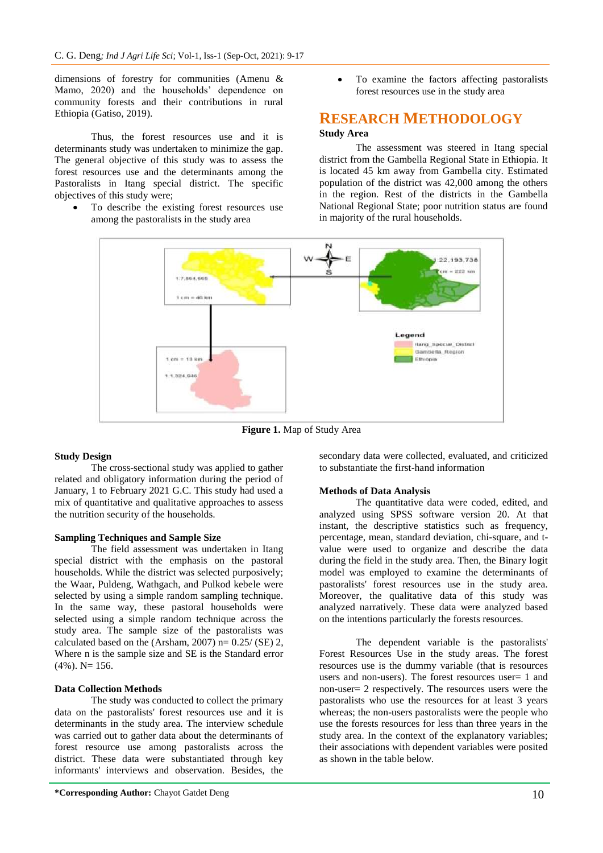dimensions of forestry for communities (Amenu & Mamo, 2020) and the households' dependence on community forests and their contributions in rural Ethiopia (Gatiso, 2019).

Thus, the forest resources use and it is determinants study was undertaken to minimize the gap. The general objective of this study was to assess the forest resources use and the determinants among the Pastoralists in Itang special district. The specific objectives of this study were;

 To describe the existing forest resources use among the pastoralists in the study area

 To examine the factors affecting pastoralists forest resources use in the study area

## **RESEARCH METHODOLOGY**

#### **Study Area**

The assessment was steered in Itang special district from the Gambella Regional State in Ethiopia. It is located 45 km away from Gambella city. Estimated population of the district was 42,000 among the others in the region. Rest of the districts in the Gambella National Regional State; poor nutrition status are found in majority of the rural households.



**Figure 1.** Map of Study Area

#### **Study Design**

The cross-sectional study was applied to gather related and obligatory information during the period of January, 1 to February 2021 G.C. This study had used a mix of quantitative and qualitative approaches to assess the nutrition security of the households.

#### **Sampling Techniques and Sample Size**

The field assessment was undertaken in Itang special district with the emphasis on the pastoral households. While the district was selected purposively; the Waar, Puldeng, Wathgach, and Pulkod kebele were selected by using a simple random sampling technique. In the same way, these pastoral households were selected using a simple random technique across the study area. The sample size of the pastoralists was calculated based on the (Arsham, 2007)  $n= 0.25$ / (SE) 2, Where n is the sample size and SE is the Standard error  $(4\%)$ . N= 156.

#### **Data Collection Methods**

The study was conducted to collect the primary data on the pastoralists' forest resources use and it is determinants in the study area. The interview schedule was carried out to gather data about the determinants of forest resource use among pastoralists across the district. These data were substantiated through key informants' interviews and observation. Besides, the

secondary data were collected, evaluated, and criticized to substantiate the first-hand information

#### **Methods of Data Analysis**

The quantitative data were coded, edited, and analyzed using SPSS software version 20. At that instant, the descriptive statistics such as frequency, percentage, mean, standard deviation, chi-square, and tvalue were used to organize and describe the data during the field in the study area. Then, the Binary logit model was employed to examine the determinants of pastoralists' forest resources use in the study area. Moreover, the qualitative data of this study was analyzed narratively. These data were analyzed based on the intentions particularly the forests resources.

The dependent variable is the pastoralists' Forest Resources Use in the study areas. The forest resources use is the dummy variable (that is resources users and non-users). The forest resources user= 1 and non-user= 2 respectively. The resources users were the pastoralists who use the resources for at least 3 years whereas; the non-users pastoralists were the people who use the forests resources for less than three years in the study area. In the context of the explanatory variables; their associations with dependent variables were posited as shown in the table below.

**<sup>\*</sup>Corresponding Author:** Chayot Gatdet Deng 10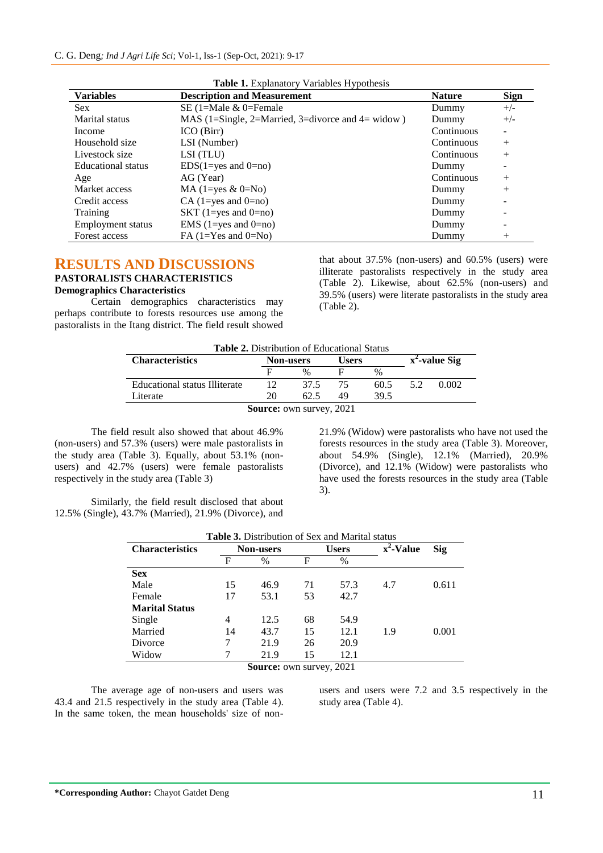| <b>Variables</b>          | <b>Description and Measurement</b>                | <b>Nature</b> | <b>Sign</b> |
|---------------------------|---------------------------------------------------|---------------|-------------|
| <b>Sex</b>                | SE (1=Male $&$ 0=Female                           | Dummy         | $+/-$       |
| Marital status            | MAS (1=Single, 2=Married, 3=divorce and 4= widow) | Dummy         | $+/-$       |
| Income                    | ICO (Birr)                                        | Continuous    |             |
| Household size            | LSI (Number)                                      | Continuous    | $^{+}$      |
| Livestock size            | LSI (TLU)                                         | Continuous    | $^{+}$      |
| <b>Educational</b> status | $EDS(1 = yes \text{ and } 0 = no)$                | Dummy         |             |
| Age                       | AG (Year)                                         | Continuous    | $^{+}$      |
| Market access             | MA $(1 = yes & 0 = No)$                           | Dummy         | $^{+}$      |
| Credit access             | $CA$ (1=yes and 0=no)                             | Dummy         |             |
| Training                  | SKT $(1 = yes \text{ and } 0 = no)$               | Dummy         |             |
| Employment status         | EMS $(1 = yes \text{ and } 0 = no)$               | Dummy         |             |
| Forest access             | FA $(1=Yes$ and $0=No)$                           | Dummy         | $^{+}$      |

|  | Table 1. Explanatory Variables Hypothesis |
|--|-------------------------------------------|
|--|-------------------------------------------|

## **RESULTS AND DISCUSSIONS**

### **PASTORALISTS CHARACTERISTICS**

#### **Demographics Characteristics**

Certain demographics characteristics may perhaps contribute to forests resources use among the pastoralists in the Itang district. The field result showed that about 37.5% (non-users) and 60.5% (users) were illiterate pastoralists respectively in the study area (Table 2). Likewise, about 62.5% (non-users) and 39.5% (users) were literate pastoralists in the study area (Table 2).

| <b>Table 2.</b> Distribution of Educational Status |    |                                            |    |      |                  |       |  |  |
|----------------------------------------------------|----|--------------------------------------------|----|------|------------------|-------|--|--|
| <b>Characteristics</b>                             |    | <b>Users</b><br><b>Non-users</b>           |    |      | $x^2$ -value Sig |       |  |  |
|                                                    |    | $\frac{0}{6}$                              |    | $\%$ |                  |       |  |  |
| Educational status Illiterate                      |    | 37.5                                       | 75 | 60.5 | 52               | 0.002 |  |  |
| Literate                                           | 20 | 62.5                                       | 49 | 39.5 |                  |       |  |  |
|                                                    |    | $\Omega$ = = = = = = = = = = = = = = 0.001 |    |      |                  |       |  |  |

**Source:** own survey, 2021

The field result also showed that about 46.9% (non-users) and 57.3% (users) were male pastoralists in the study area (Table 3). Equally, about 53.1% (nonusers) and 42.7% (users) were female pastoralists respectively in the study area (Table 3)

21.9% (Widow) were pastoralists who have not used the forests resources in the study area (Table 3). Moreover, about 54.9% (Single), 12.1% (Married), 20.9% (Divorce), and 12.1% (Widow) were pastoralists who have used the forests resources in the study area (Table 3).

Similarly, the field result disclosed that about 12.5% (Single), 43.7% (Married), 21.9% (Divorce), and

| <b>Table 3.</b> Distribution of Sex and Marital status |                  |      |    |              |              |       |  |  |  |
|--------------------------------------------------------|------------------|------|----|--------------|--------------|-------|--|--|--|
| <b>Characteristics</b>                                 | <b>Non-users</b> |      |    | <b>Users</b> | $x^2$ -Value | Sig   |  |  |  |
|                                                        | F                | $\%$ | F  | $\%$         |              |       |  |  |  |
| <b>Sex</b>                                             |                  |      |    |              |              |       |  |  |  |
| Male                                                   | 15               | 46.9 | 71 | 57.3         | 4.7          | 0.611 |  |  |  |
| Female                                                 | 17               | 53.1 | 53 | 42.7         |              |       |  |  |  |
| <b>Marital Status</b>                                  |                  |      |    |              |              |       |  |  |  |
| Single                                                 | 4                | 12.5 | 68 | 54.9         |              |       |  |  |  |
| Married                                                | 14               | 43.7 | 15 | 12.1         | 1.9          | 0.001 |  |  |  |
| Divorce                                                |                  | 21.9 | 26 | 20.9         |              |       |  |  |  |
| Widow                                                  |                  | 21.9 | 15 | 12.1         |              |       |  |  |  |
|                                                        |                  |      |    | 001          |              |       |  |  |  |

**Source:** own survey, 2021

The average age of non-users and users was 43.4 and 21.5 respectively in the study area (Table 4). In the same token, the mean households' size of nonusers and users were 7.2 and 3.5 respectively in the study area (Table 4).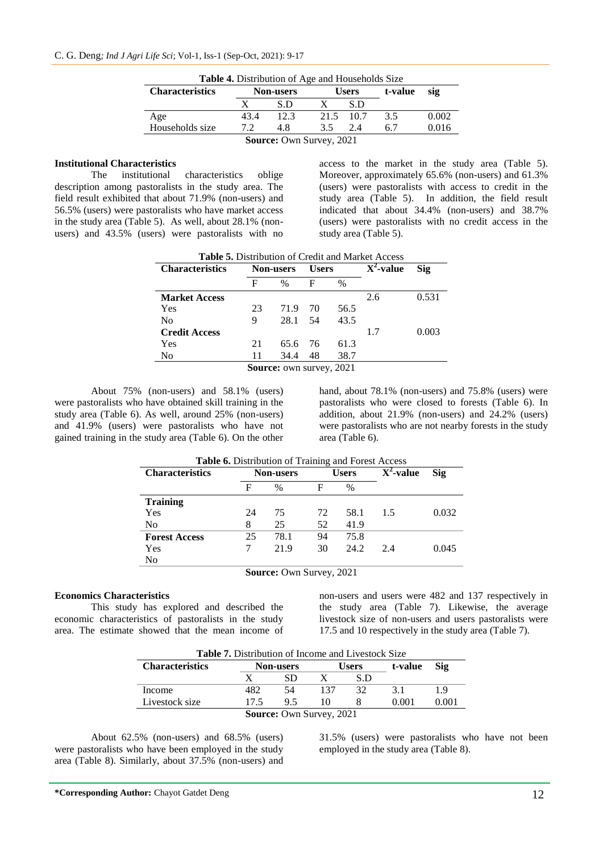| <b>Table 4.</b> Distribution of Age and Households Size |                  |      |           |              |         |       |  |  |  |  |
|---------------------------------------------------------|------------------|------|-----------|--------------|---------|-------|--|--|--|--|
| <b>Characteristics</b>                                  | <b>Non-users</b> |      |           | <b>Users</b> | t-value | sig   |  |  |  |  |
|                                                         |                  | S.D  |           | S.D          |         |       |  |  |  |  |
| Age                                                     | 43.4             | 12.3 | 21.5 10.7 |              | 3.5     | 0.002 |  |  |  |  |
| Households size                                         | 72               | 4.8  | 3.5       | 2.4          | 67      | 0.016 |  |  |  |  |
| <b>Source: Own Survey, 2021</b>                         |                  |      |           |              |         |       |  |  |  |  |

#### **Institutional Characteristics**

The institutional characteristics oblige description among pastoralists in the study area. The field result exhibited that about 71.9% (non-users) and 56.5% (users) were pastoralists who have market access in the study area (Table 5). As well, about 28.1% (nonusers) and 43.5% (users) were pastoralists with no

access to the market in the study area (Table 5). Moreover, approximately 65.6% (non-users) and 61.3% (users) were pastoralists with access to credit in the study area (Table 5). In addition, the field result indicated that about 34.4% (non-users) and 38.7% (users) were pastoralists with no credit access in the study area (Table 5).

| <b>Table 5.</b> Distribution of Credit and Market Access |                  |      |              |      |                         |       |  |  |  |
|----------------------------------------------------------|------------------|------|--------------|------|-------------------------|-------|--|--|--|
| <b>Characteristics</b>                                   | <b>Non-users</b> |      | <b>Users</b> |      | $\overline{X^2}$ -value | Sig   |  |  |  |
|                                                          | F                | $\%$ | F            | $\%$ |                         |       |  |  |  |
| <b>Market Access</b>                                     |                  |      |              |      | 2.6                     | 0.531 |  |  |  |
| Yes                                                      | 23               | 71.9 | 70           | 56.5 |                         |       |  |  |  |
| N <sub>0</sub>                                           | 9                | 28.1 | 54           | 43.5 |                         |       |  |  |  |
| <b>Credit Access</b>                                     |                  |      |              |      | 1.7                     | 0.003 |  |  |  |
| Yes                                                      | 21               | 65.6 | 76           | 61.3 |                         |       |  |  |  |
| No                                                       | 11               | 34.4 | 48           | 38.7 |                         |       |  |  |  |
| <b>Source:</b> own survey, 2021                          |                  |      |              |      |                         |       |  |  |  |

About 75% (non-users) and 58.1% (users) were pastoralists who have obtained skill training in the study area (Table 6). As well, around 25% (non-users) and 41.9% (users) were pastoralists who have not gained training in the study area (Table 6). On the other hand, about 78.1% (non-users) and 75.8% (users) were pastoralists who were closed to forests (Table 6). In addition, about 21.9% (non-users) and 24.2% (users) were pastoralists who are not nearby forests in the study area (Table 6).

| Table 6. Distribution of Training and Forest Access |                  |               |              |               |     |       |  |  |  |
|-----------------------------------------------------|------------------|---------------|--------------|---------------|-----|-------|--|--|--|
| <b>Characteristics</b>                              | <b>Non-users</b> |               | <b>Users</b> | $X^2$ -value  | Sig |       |  |  |  |
|                                                     | F                | $\frac{0}{0}$ | F            | $\frac{0}{0}$ |     |       |  |  |  |
| <b>Training</b>                                     |                  |               |              |               |     |       |  |  |  |
| Yes                                                 | 24               | 75            | 72           | 58.1          | 1.5 | 0.032 |  |  |  |
| No                                                  | 8                | 25            | 52           | 41.9          |     |       |  |  |  |
| <b>Forest Access</b>                                | 25               | 78.1          | 94           | 75.8          |     |       |  |  |  |
| Yes                                                 |                  | 21.9          | 30           | 24.2          | 2.4 | 0.045 |  |  |  |
| No                                                  |                  |               |              |               |     |       |  |  |  |
|                                                     |                  |               |              |               |     |       |  |  |  |

**Source:** Own Survey, 2021

#### **Economics Characteristics**

This study has explored and described the economic characteristics of pastoralists in the study area. The estimate showed that the mean income of non-users and users were 482 and 137 respectively in the study area (Table 7). Likewise, the average livestock size of non-users and users pastoralists were 17.5 and 10 respectively in the study area (Table 7).

**Table 7.** Distribution of Income and Livestock Size

| <b>Characteristics</b>          | <b>Non-users</b> |    |  | Users | t-value | Sig   |  |  |
|---------------------------------|------------------|----|--|-------|---------|-------|--|--|
|                                 |                  |    |  | S.D   |         |       |  |  |
| Income                          | +82              | 54 |  | 32    |         | 19    |  |  |
| Livestock size                  | 17 5             | 95 |  |       | 0.001   | ን 001 |  |  |
| <b>Source: Own Survey, 2021</b> |                  |    |  |       |         |       |  |  |

About 62.5% (non-users) and 68.5% (users) were pastoralists who have been employed in the study area (Table 8). Similarly, about 37.5% (non-users) and 31.5% (users) were pastoralists who have not been employed in the study area (Table 8).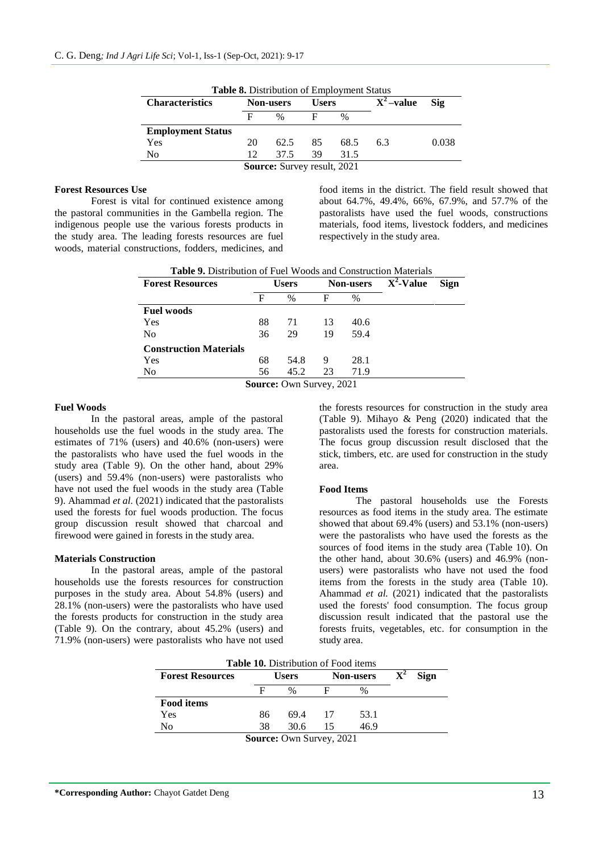| <b>Characteristics</b>   | <b>Non-users</b> |      | <b>Users</b> |      | $X^2$ -value | <b>Sig</b> |
|--------------------------|------------------|------|--------------|------|--------------|------------|
|                          | F                | $\%$ | F            | $\%$ |              |            |
| <b>Employment Status</b> |                  |      |              |      |              |            |
| Yes                      | 20               | 62.5 | 85           | 68.5 | 6.3          | 0.038      |
| No                       | 12.              | 37.5 | 39           | 31.5 |              |            |

#### **Forest Resources Use**

Forest is vital for continued existence among the pastoral communities in the Gambella region. The indigenous people use the various forests products in the study area. The leading forests resources are fuel woods, material constructions, fodders, medicines, and

food items in the district. The field result showed that about 64.7%, 49.4%, 66%, 67.9%, and 57.7% of the pastoralists have used the fuel woods, constructions materials, food items, livestock fodders, and medicines respectively in the study area.

|  | <b>Table 9.</b> Distribution of Fuel Woods and Construction Materials |
|--|-----------------------------------------------------------------------|
|--|-----------------------------------------------------------------------|

| <b>Forest Resources</b>       | <b>Users</b> |                                 | <b>Non-users</b> |      | $\overline{X^2}\cdot\overline{V}$ alue | <b>Sign</b> |
|-------------------------------|--------------|---------------------------------|------------------|------|----------------------------------------|-------------|
|                               | F            | $\%$                            | F                | $\%$ |                                        |             |
| <b>Fuel woods</b>             |              |                                 |                  |      |                                        |             |
| Yes                           | 88           | 71                              | 13               | 40.6 |                                        |             |
| N <sub>0</sub>                | 36           | 29                              | 19               | 59.4 |                                        |             |
| <b>Construction Materials</b> |              |                                 |                  |      |                                        |             |
| Yes                           | 68           | 54.8                            | 9                | 28.1 |                                        |             |
| N <sub>0</sub>                | 56           | 45.2                            | 23               | 71.9 |                                        |             |
|                               |              | <b>Source: Own Survey, 2021</b> |                  |      |                                        |             |

#### **Fuel Woods**

In the pastoral areas, ample of the pastoral households use the fuel woods in the study area. The estimates of 71% (users) and 40.6% (non-users) were the pastoralists who have used the fuel woods in the study area (Table 9). On the other hand, about 29% (users) and 59.4% (non-users) were pastoralists who have not used the fuel woods in the study area (Table 9). Ahammad *et al.* (2021) indicated that the pastoralists used the forests for fuel woods production. The focus group discussion result showed that charcoal and firewood were gained in forests in the study area.

#### **Materials Construction**

In the pastoral areas, ample of the pastoral households use the forests resources for construction purposes in the study area. About 54.8% (users) and 28.1% (non-users) were the pastoralists who have used the forests products for construction in the study area (Table 9). On the contrary, about 45.2% (users) and 71.9% (non-users) were pastoralists who have not used

the forests resources for construction in the study area (Table 9). Mihayo & Peng (2020) indicated that the pastoralists used the forests for construction materials. The focus group discussion result disclosed that the stick, timbers, etc. are used for construction in the study area.

#### **Food Items**

The pastoral households use the Forests resources as food items in the study area. The estimate showed that about 69.4% (users) and 53.1% (non-users) were the pastoralists who have used the forests as the sources of food items in the study area (Table 10). On the other hand, about 30.6% (users) and 46.9% (nonusers) were pastoralists who have not used the food items from the forests in the study area (Table 10). Ahammad *et al.* (2021) indicated that the pastoralists used the forests' food consumption. The focus group discussion result indicated that the pastoral use the forests fruits, vegetables, etc. for consumption in the study area.

| <b>Table 10.</b> Distribution of Food items |              |      |     |                  |                               |  |  |  |
|---------------------------------------------|--------------|------|-----|------------------|-------------------------------|--|--|--|
| <b>Forest Resources</b>                     | <b>Users</b> |      |     | <b>Non-users</b> | $\mathbf{X}^2$<br><b>Sign</b> |  |  |  |
|                                             | F            | $\%$ |     | %                |                               |  |  |  |
| <b>Food items</b>                           |              |      |     |                  |                               |  |  |  |
| Yes                                         | 86           | 69.4 | -17 | 53.1             |                               |  |  |  |
| No                                          | 38           | 30.6 | 15  | 46.9             |                               |  |  |  |
| <b>Source: Own Survey, 2021</b>             |              |      |     |                  |                               |  |  |  |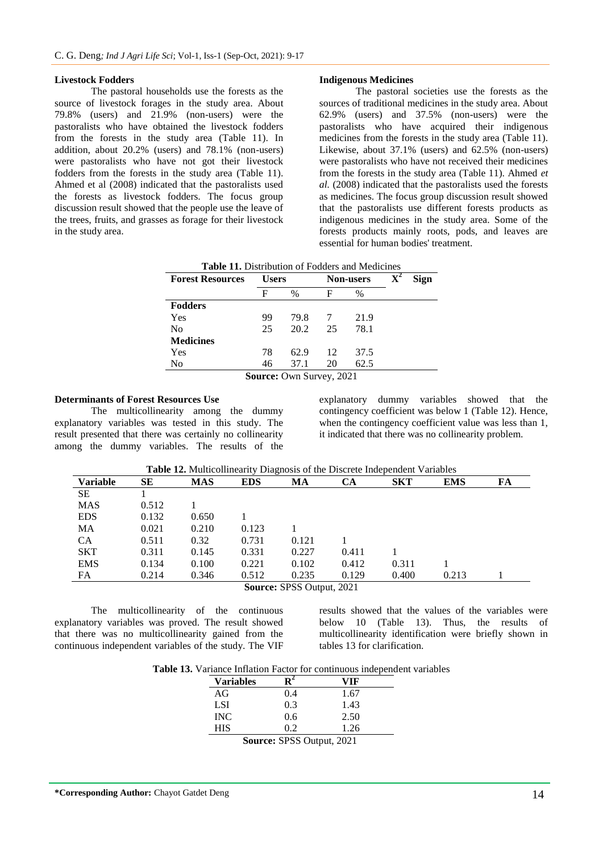#### **Livestock Fodders**

The pastoral households use the forests as the source of livestock forages in the study area. About 79.8% (users) and 21.9% (non-users) were the pastoralists who have obtained the livestock fodders from the forests in the study area (Table 11). In addition, about 20.2% (users) and 78.1% (non-users) were pastoralists who have not got their livestock fodders from the forests in the study area (Table 11). Ahmed et al (2008) indicated that the pastoralists used the forests as livestock fodders. The focus group discussion result showed that the people use the leave of the trees, fruits, and grasses as forage for their livestock in the study area.

#### **Indigenous Medicines**

The pastoral societies use the forests as the sources of traditional medicines in the study area. About 62.9% (users) and 37.5% (non-users) were the pastoralists who have acquired their indigenous medicines from the forests in the study area (Table 11). Likewise, about 37.1% (users) and 62.5% (non-users) were pastoralists who have not received their medicines from the forests in the study area (Table 11). Ahmed *et al.* (2008) indicated that the pastoralists used the forests as medicines. The focus group discussion result showed that the pastoralists use different forests products as indigenous medicines in the study area. Some of the forests products mainly roots, pods, and leaves are essential for human bodies' treatment.

| <b>Forest Resources</b> | <b>Users</b> |                                                                                                                                      |    | <b>Non-users</b> | $\mathbf{X}^2$<br><b>Sign</b> |
|-------------------------|--------------|--------------------------------------------------------------------------------------------------------------------------------------|----|------------------|-------------------------------|
|                         | F            | $\%$                                                                                                                                 | F  | $\%$             |                               |
| <b>Fodders</b>          |              |                                                                                                                                      |    |                  |                               |
| Yes                     | 99           | 79.8                                                                                                                                 |    | 21.9             |                               |
| N <sub>0</sub>          | 25           | 20.2                                                                                                                                 | 25 | 78.1             |                               |
| <b>Medicines</b>        |              |                                                                                                                                      |    |                  |                               |
| Yes                     | 78           | 62.9                                                                                                                                 | 12 | 37.5             |                               |
| No                      | 46           | 37.1                                                                                                                                 | 20 | 62.5             |                               |
|                         |              | $\mathcal{C}_{\mathbf{OUMOO}}$ $\mathcal{O}_{\mathbf{U}}$ $\mathcal{C}_{\mathbf{U} \mathbf{U}\mathbf{O}}$ $\mathcal{O}_{\mathbf{U}}$ |    |                  |                               |

**Table 11.** Distribution of Fodders and Medicines

**Source:** Own Survey, 2021

#### **Determinants of Forest Resources Use**

 $SE$  $MAS$ 

The multicollinearity among the dummy explanatory variables was tested in this study. The result presented that there was certainly no collinearity among the dummy variables. The results of the

explanatory dummy variables showed that the contingency coefficient was below 1 (Table 12). Hence, when the contingency coefficient value was less than 1, it indicated that there was no collinearity problem.

| <b>Table 12.</b> Multicollinearity Diagnosis of the Discrete Independent Variables |       |     |     |    |  |     |     |    |
|------------------------------------------------------------------------------------|-------|-----|-----|----|--|-----|-----|----|
| Variable                                                                           |       | MAS | EDS | MА |  | SKT | EMS | FA |
| SЕ                                                                                 |       |     |     |    |  |     |     |    |
| MAS                                                                                | 0.512 |     |     |    |  |     |     |    |

| $\mathcal{L}_{\text{OIPAO}}$ , CDCC $\bigcap_{n+m+1}$ 001 |       |       |       |       |       |       |       |  |
|-----------------------------------------------------------|-------|-------|-------|-------|-------|-------|-------|--|
| FA                                                        | 0.214 | 0.346 | 0.512 | 0.235 | 0.129 | 0.400 | 0.213 |  |
| EMS                                                       | 0.134 | 0.100 | 0.221 | 0.102 | 0.412 | 0.311 |       |  |
| SKT                                                       | 0.311 | 0.145 | 0.331 | 0.227 | 0.411 |       |       |  |
| CА                                                        | 0.511 | 0.32  | 0.731 | 0.121 |       |       |       |  |
| MA                                                        | 0.021 | 0.210 | 0.123 |       |       |       |       |  |
| EDS                                                       | 0.132 | 0.650 |       |       |       |       |       |  |
|                                                           |       |       |       |       |       |       |       |  |

**Source:** SPSS Output, 2021

The multicollinearity of the continuous explanatory variables was proved. The result showed that there was no multicollinearity gained from the continuous independent variables of the study. The VIF

results showed that the values of the variables were below 10 (Table 13). Thus, the results of multicollinearity identification were briefly shown in tables 13 for clarification.

| <b>Table 13.</b> Variance Inflation Factor for continuous independent variables |  |  |  |  |
|---------------------------------------------------------------------------------|--|--|--|--|
|---------------------------------------------------------------------------------|--|--|--|--|

| <b>Variables</b> |     | /IF  |
|------------------|-----|------|
| AG               | 9.4 | 1.67 |
| LSI              | 0.3 | 1.43 |
| <b>INC</b>       | 0.6 | 2.50 |
| <b>HIS</b>       | 92  | 1.26 |

**Source:** SPSS Output, 2021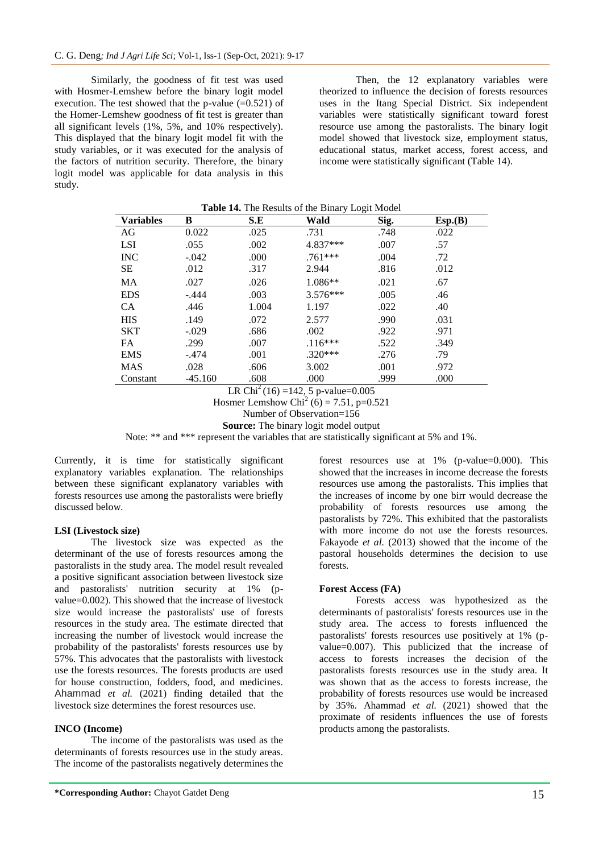Similarly, the goodness of fit test was used with Hosmer-Lemshew before the binary logit model execution. The test showed that the p-value  $(=0.521)$  of the Homer-Lemshew goodness of fit test is greater than all significant levels (1%, 5%, and 10% respectively). This displayed that the binary logit model fit with the study variables, or it was executed for the analysis of the factors of nutrition security. Therefore, the binary logit model was applicable for data analysis in this study.

Then, the 12 explanatory variables were theorized to influence the decision of forests resources uses in the Itang Special District. Six independent variables were statistically significant toward forest resource use among the pastoralists. The binary logit model showed that livestock size, employment status, educational status, market access, forest access, and income were statistically significant (Table 14).

| <b>Variables</b> | в         | S.E   | Wald       | Sig. | Esp.(B) |
|------------------|-----------|-------|------------|------|---------|
| AG               | 0.022     | .025  | .731       | .748 | .022    |
| LSI              | .055      | .002  | 4.837***   | .007 | .57     |
| <b>INC</b>       | $-.042$   | .000  | $.761***$  | .004 | .72     |
| <b>SE</b>        | .012      | .317  | 2.944      | .816 | .012    |
| MA               | .027      | .026  | 1.086**    | .021 | .67     |
| <b>EDS</b>       | $-.444$   | .003  | $3.576***$ | .005 | .46     |
| <b>CA</b>        | .446      | 1.004 | 1.197      | .022 | .40     |
| <b>HIS</b>       | .149      | .072  | 2.577      | .990 | .031    |
| <b>SKT</b>       | $-.029$   | .686  | .002       | .922 | .971    |
| FA.              | .299      | .007  | $.116***$  | .522 | .349    |
| <b>EMS</b>       | $-.474$   | .001  | $.320***$  | .276 | .79     |
| <b>MAS</b>       | .028      | .606  | 3.002      | .001 | .972    |
| Constant         | $-45.160$ | .608  | .000       | .999 | .000    |

| Table 14. The Results of the Binary Logit Model |  |  |
|-------------------------------------------------|--|--|
|                                                 |  |  |

LR Chi<sup>2</sup>(16) =142, 5 p-value=0.005

Hosmer Lemshow Chi<sup>2</sup> (6) = 7.51, p=0.521

Number of Observation=156

**Source:** The binary logit model output

Note: \*\* and \*\*\* represent the variables that are statistically significant at 5% and 1%.

Currently, it is time for statistically significant explanatory variables explanation. The relationships between these significant explanatory variables with forests resources use among the pastoralists were briefly discussed below.

#### **LSI (Livestock size)**

The livestock size was expected as the determinant of the use of forests resources among the pastoralists in the study area. The model result revealed a positive significant association between livestock size and pastoralists' nutrition security at 1% (pvalue=0.002). This showed that the increase of livestock size would increase the pastoralists' use of forests resources in the study area. The estimate directed that increasing the number of livestock would increase the probability of the pastoralists' forests resources use by 57%. This advocates that the pastoralists with livestock use the forests resources. The forests products are used for house construction, fodders, food, and medicines. Ahammad *et al.* (2021) finding detailed that the livestock size determines the forest resources use.

#### **INCO (Income)**

The income of the pastoralists was used as the determinants of forests resources use in the study areas. The income of the pastoralists negatively determines the

forest resources use at 1% (p-value=0.000). This showed that the increases in income decrease the forests resources use among the pastoralists. This implies that the increases of income by one birr would decrease the probability of forests resources use among the pastoralists by 72%. This exhibited that the pastoralists with more income do not use the forests resources. Fakayode *et al.* (2013) showed that the income of the pastoral households determines the decision to use forests.

### **Forest Access (FA)**

Forests access was hypothesized as the determinants of pastoralists' forests resources use in the study area. The access to forests influenced the pastoralists' forests resources use positively at 1% (pvalue=0.007). This publicized that the increase of access to forests increases the decision of the pastoralists forests resources use in the study area. It was shown that as the access to forests increase, the probability of forests resources use would be increased by 35%. Ahammad *et al.* (2021) showed that the proximate of residents influences the use of forests products among the pastoralists.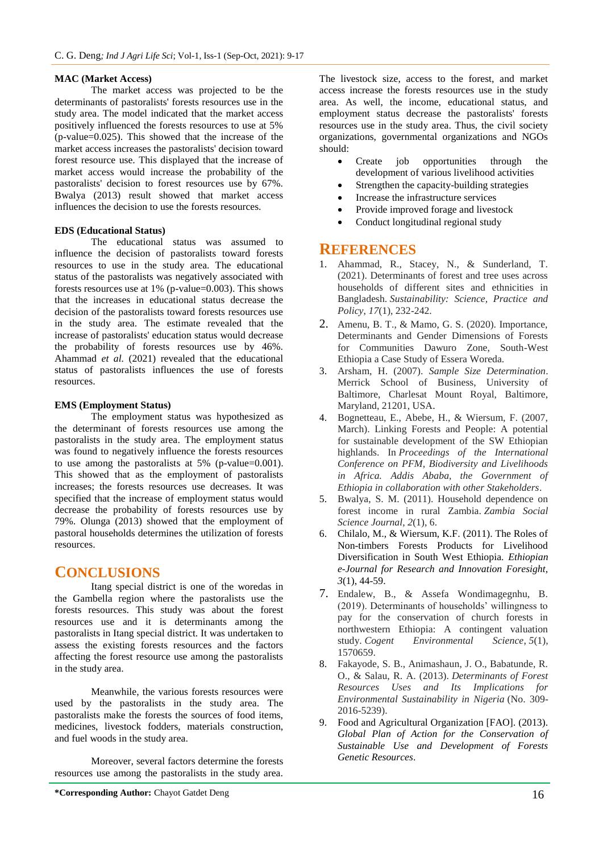#### **MAC (Market Access)**

The market access was projected to be the determinants of pastoralists' forests resources use in the study area. The model indicated that the market access positively influenced the forests resources to use at 5% (p-value=0.025). This showed that the increase of the market access increases the pastoralists' decision toward forest resource use. This displayed that the increase of market access would increase the probability of the pastoralists' decision to forest resources use by 67%. Bwalya (2013) result showed that market access influences the decision to use the forests resources.

#### **EDS (Educational Status)**

The educational status was assumed to influence the decision of pastoralists toward forests resources to use in the study area. The educational status of the pastoralists was negatively associated with forests resources use at 1% (p-value=0.003). This shows that the increases in educational status decrease the decision of the pastoralists toward forests resources use in the study area. The estimate revealed that the increase of pastoralists' education status would decrease the probability of forests resources use by 46%. Ahammad *et al.* (2021) revealed that the educational status of pastoralists influences the use of forests resources.

#### **EMS (Employment Status)**

The employment status was hypothesized as the determinant of forests resources use among the pastoralists in the study area. The employment status was found to negatively influence the forests resources to use among the pastoralists at 5% (p-value=0.001). This showed that as the employment of pastoralists increases; the forests resources use decreases. It was specified that the increase of employment status would decrease the probability of forests resources use by 79%. Olunga (2013) showed that the employment of pastoral households determines the utilization of forests resources.

## **CONCLUSIONS**

Itang special district is one of the woredas in the Gambella region where the pastoralists use the forests resources. This study was about the forest resources use and it is determinants among the pastoralists in Itang special district. It was undertaken to assess the existing forests resources and the factors affecting the forest resource use among the pastoralists in the study area.

Meanwhile, the various forests resources were used by the pastoralists in the study area. The pastoralists make the forests the sources of food items, medicines, livestock fodders, materials construction, and fuel woods in the study area.

Moreover, several factors determine the forests resources use among the pastoralists in the study area.

The livestock size, access to the forest, and market access increase the forests resources use in the study area. As well, the income, educational status, and employment status decrease the pastoralists' forests resources use in the study area. Thus, the civil society organizations, governmental organizations and NGOs should:

- Create job opportunities through the development of various livelihood activities
- Strengthen the capacity-building strategies
- Increase the infrastructure services
- Provide improved forage and livestock
- Conduct longitudinal regional study

## **REFERENCES**

- 1. Ahammad, R., Stacey, N., & Sunderland, T. (2021). Determinants of forest and tree uses across households of different sites and ethnicities in Bangladesh. *Sustainability: Science, Practice and Policy*, *17*(1), 232-242.
- 2. Amenu, B. T., & Mamo, G. S. (2020). Importance, Determinants and Gender Dimensions of Forests for Communities Dawuro Zone, South-West Ethiopia a Case Study of Essera Woreda.
- 3. Arsham, H. (2007). *Sample Size Determination*. Merrick School of Business, University of Baltimore, Charlesat Mount Royal, Baltimore, Maryland, 21201, USA.
- 4. Bognetteau, E., Abebe, H., & Wiersum, F. (2007, March). Linking Forests and People: A potential for sustainable development of the SW Ethiopian highlands. In *Proceedings of the International Conference on PFM, Biodiversity and Livelihoods in Africa. Addis Ababa, the Government of Ethiopia in collaboration with other Stakeholders*.
- 5. Bwalya, S. M. (2011). Household dependence on forest income in rural Zambia. *Zambia Social Science Journal*, *2*(1), 6.
- 6. Chilalo, M., & Wiersum, K.F. (2011). The Roles of Non-timbers Forests Products for Livelihood Diversification in South West Ethiopia. *Ethiopian e-Journal for Research and Innovation Foresight, 3*(1), 44-59.
- 7. Endalew, B., & Assefa Wondimagegnhu, B. (2019). Determinants of households' willingness to pay for the conservation of church forests in northwestern Ethiopia: A contingent valuation study. *Cogent Environmental Science*, *5*(1), 1570659.
- 8. Fakayode, S. B., Animashaun, J. O., Babatunde, R. O., & Salau, R. A. (2013). *Determinants of Forest Resources Uses and Its Implications for Environmental Sustainability in Nigeria* (No. 309- 2016-5239).
- 9. Food and Agricultural Organization [FAO]. (2013). *Global Plan of Action for the Conservation of Sustainable Use and Development of Forests Genetic Resources*.